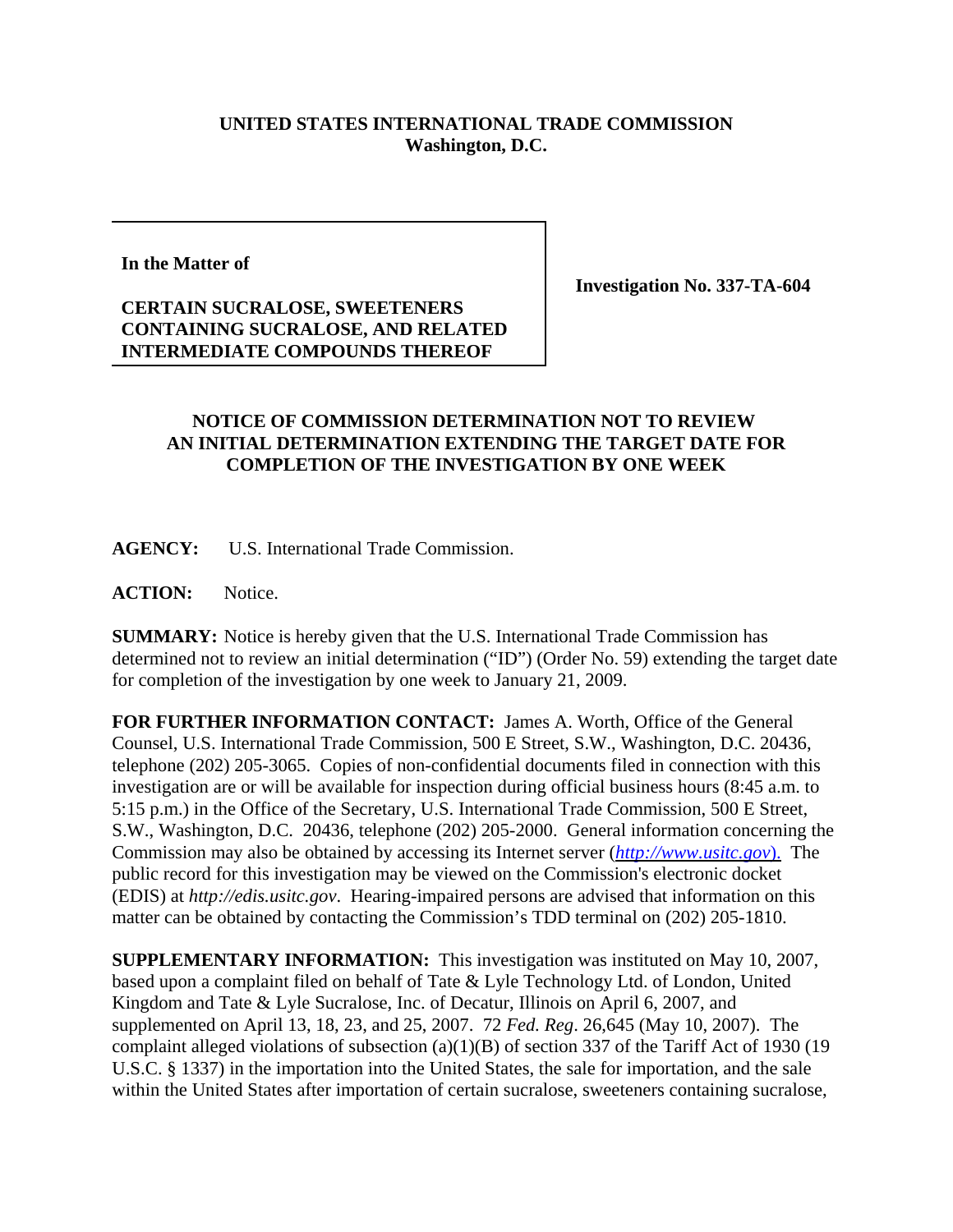## **UNITED STATES INTERNATIONAL TRADE COMMISSION Washington, D.C.**

**In the Matter of**

## **CERTAIN SUCRALOSE, SWEETENERS CONTAINING SUCRALOSE, AND RELATED INTERMEDIATE COMPOUNDS THEREOF**

**Investigation No. 337-TA-604**

## **NOTICE OF COMMISSION DETERMINATION NOT TO REVIEW AN INITIAL DETERMINATION EXTENDING THE TARGET DATE FOR COMPLETION OF THE INVESTIGATION BY ONE WEEK**

**AGENCY:** U.S. International Trade Commission.

**ACTION:** Notice.

**SUMMARY:** Notice is hereby given that the U.S. International Trade Commission has determined not to review an initial determination ("ID") (Order No. 59) extending the target date for completion of the investigation by one week to January 21, 2009.

**FOR FURTHER INFORMATION CONTACT:** James A. Worth, Office of the General Counsel, U.S. International Trade Commission, 500 E Street, S.W., Washington, D.C. 20436, telephone (202) 205-3065. Copies of non-confidential documents filed in connection with this investigation are or will be available for inspection during official business hours (8:45 a.m. to 5:15 p.m.) in the Office of the Secretary, U.S. International Trade Commission, 500 E Street, S.W., Washington, D.C. 20436, telephone (202) 205-2000. General information concerning the Commission may also be obtained by accessing its Internet server (*http://www.usitc.gov*). The public record for this investigation may be viewed on the Commission's electronic docket (EDIS) at *http://edis.usitc.gov*. Hearing-impaired persons are advised that information on this matter can be obtained by contacting the Commission's TDD terminal on (202) 205-1810.

**SUPPLEMENTARY INFORMATION:** This investigation was instituted on May 10, 2007, based upon a complaint filed on behalf of Tate & Lyle Technology Ltd. of London, United Kingdom and Tate & Lyle Sucralose, Inc. of Decatur, Illinois on April 6, 2007, and supplemented on April 13, 18, 23, and 25, 2007. 72 *Fed. Reg*. 26,645 (May 10, 2007). The complaint alleged violations of subsection (a)(1)(B) of section 337 of the Tariff Act of 1930 (19 U.S.C. § 1337) in the importation into the United States, the sale for importation, and the sale within the United States after importation of certain sucralose, sweeteners containing sucralose,